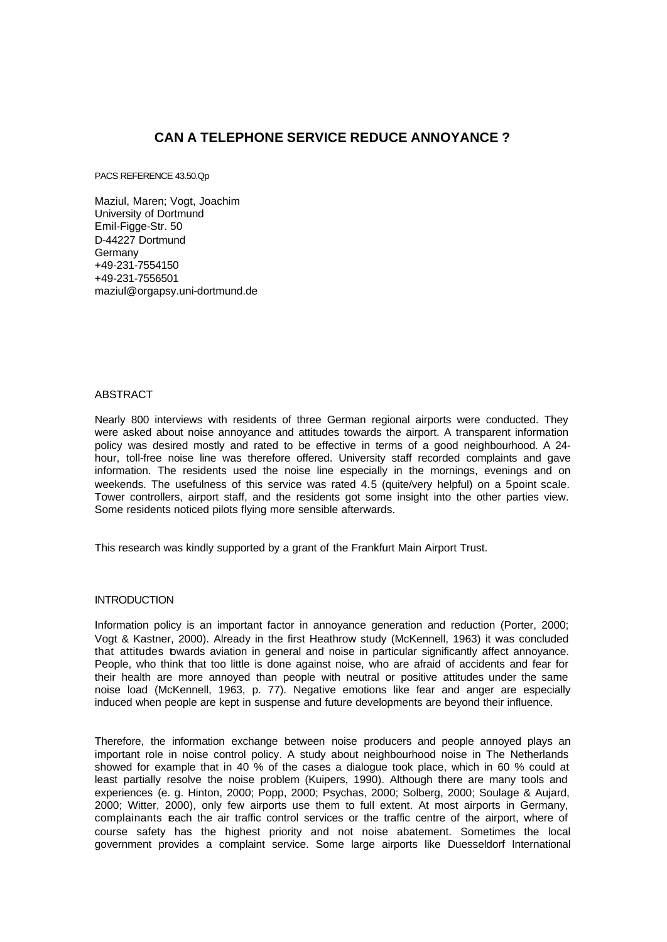# **CAN A TELEPHONE SERVICE REDUCE ANNOYANCE ?**

PACS REFERENCE 43.50.Qp

Maziul, Maren; Vogt, Joachim University of Dortmund Emil-Figge-Str. 50 D-44227 Dortmund Germany +49-231-7554150 +49-231-7556501 maziul@orgapsy.uni-dortmund.de

## ABSTRACT

Nearly 800 interviews with residents of three German regional airports were conducted. They were asked about noise annoyance and attitudes towards the airport. A transparent information policy was desired mostly and rated to be effective in terms of a good neighbourhood. A 24 hour, toll-free noise line was therefore offered. University staff recorded complaints and gave information. The residents used the noise line especially in the mornings, evenings and on weekends. The usefulness of this service was rated 4.5 (quite/very helpful) on a 5-point scale. Tower controllers, airport staff, and the residents got some insight into the other parties view. Some residents noticed pilots flying more sensible afterwards.

This research was kindly supported by a grant of the Frankfurt Main Airport Trust.

## **INTRODUCTION**

Information policy is an important factor in annoyance generation and reduction (Porter, 2000; Vogt & Kastner, 2000). Already in the first Heathrow study (McKennell, 1963) it was concluded that attitudes towards aviation in general and noise in particular significantly affect annoyance. People, who think that too little is done against noise, who are afraid of accidents and fear for their health are more annoyed than people with neutral or positive attitudes under the same noise load (McKennell, 1963, p. 77). Negative emotions like fear and anger are especially induced when people are kept in suspense and future developments are beyond their influence.

Therefore, the information exchange between noise producers and people annoyed plays an important role in noise control policy. A study about neighbourhood noise in The Netherlands showed for example that in 40 % of the cases a dialogue took place, which in 60 % could at least partially resolve the noise problem (Kuipers, 1990). Although there are many tools and experiences (e. g. Hinton, 2000; Popp, 2000; Psychas, 2000; Solberg, 2000; Soulage & Aujard, 2000; Witter, 2000), only few airports use them to full extent. At most airports in Germany, complainants each the air traffic control services or the traffic centre of the airport, where of course safety has the highest priority and not noise abatement. Sometimes the local government provides a complaint service. Some large airports like Duesseldorf International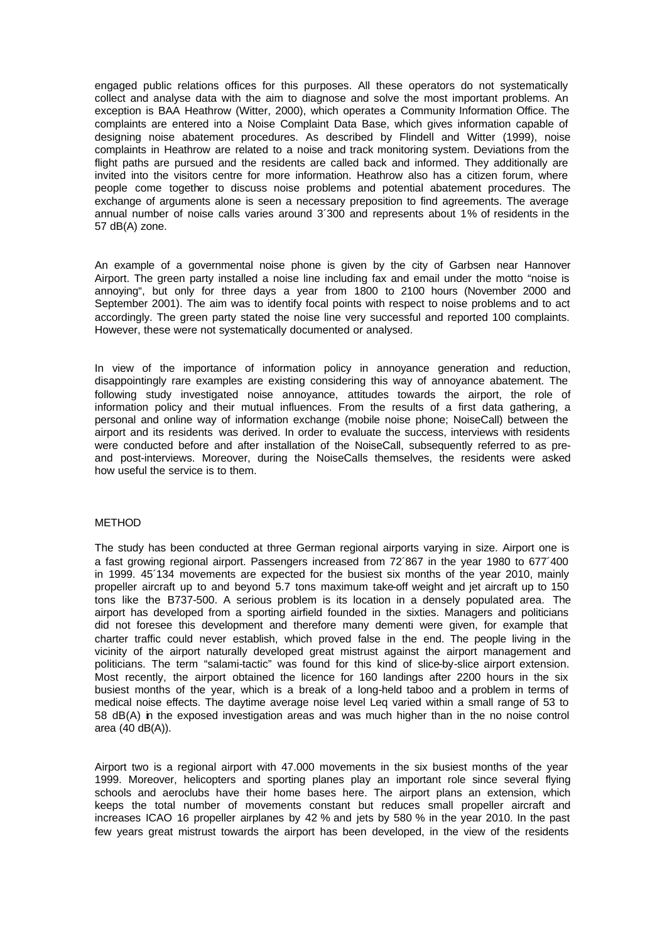engaged public relations offices for this purposes. All these operators do not systematically collect and analyse data with the aim to diagnose and solve the most important problems. An exception is BAA Heathrow (Witter, 2000), which operates a Community Information Office. The complaints are entered into a Noise Complaint Data Base, which gives information capable of designing noise abatement procedures. As described by Flindell and Witter (1999), noise complaints in Heathrow are related to a noise and track monitoring system. Deviations from the flight paths are pursued and the residents are called back and informed. They additionally are invited into the visitors centre for more information. Heathrow also has a citizen forum, where people come together to discuss noise problems and potential abatement procedures. The exchange of arguments alone is seen a necessary preposition to find agreements. The average annual number of noise calls varies around 3´300 and represents about 1% of residents in the 57 dB(A) zone.

An example of a governmental noise phone is given by the city of Garbsen near Hannover Airport. The green party installed a noise line including fax and email under the motto "noise is annoying", but only for three days a year from 1800 to 2100 hours (November 2000 and September 2001). The aim was to identify focal points with respect to noise problems and to act accordingly. The green party stated the noise line very successful and reported 100 complaints. However, these were not systematically documented or analysed.

In view of the importance of information policy in annoyance generation and reduction, disappointingly rare examples are existing considering this way of annoyance abatement. The following study investigated noise annoyance, attitudes towards the airport, the role of information policy and their mutual influences. From the results of a first data gathering, a personal and online way of information exchange (mobile noise phone; NoiseCall) between the airport and its residents was derived. In order to evaluate the success, interviews with residents were conducted before and after installation of the NoiseCall, subsequently referred to as preand post-interviews. Moreover, during the NoiseCalls themselves, the residents were asked how useful the service is to them.

# **METHOD**

The study has been conducted at three German regional airports varying in size. Airport one is a fast growing regional airport. Passengers increased from 72´867 in the year 1980 to 677´400 in 1999. 45´134 movements are expected for the busiest six months of the year 2010, mainly propeller aircraft up to and beyond 5.7 tons maximum take-off weight and jet aircraft up to 150 tons like the B737-500. A serious problem is its location in a densely populated area. The airport has developed from a sporting airfield founded in the sixties. Managers and politicians did not foresee this development and therefore many dementi were given, for example that charter traffic could never establish, which proved false in the end. The people living in the vicinity of the airport naturally developed great mistrust against the airport management and politicians. The term "salami-tactic" was found for this kind of slice-by-slice airport extension. Most recently, the airport obtained the licence for 160 landings after 2200 hours in the six busiest months of the year, which is a break of a long-held taboo and a problem in terms of medical noise effects. The daytime average noise level Leq varied within a small range of 53 to 58 dB(A) in the exposed investigation areas and was much higher than in the no noise control area (40 dB(A)).

Airport two is a regional airport with 47.000 movements in the six busiest months of the year 1999. Moreover, helicopters and sporting planes play an important role since several flying schools and aeroclubs have their home bases here. The airport plans an extension, which keeps the total number of movements constant but reduces small propeller aircraft and increases ICAO 16 propeller airplanes by 42 % and jets by 580 % in the year 2010. In the past few years great mistrust towards the airport has been developed, in the view of the residents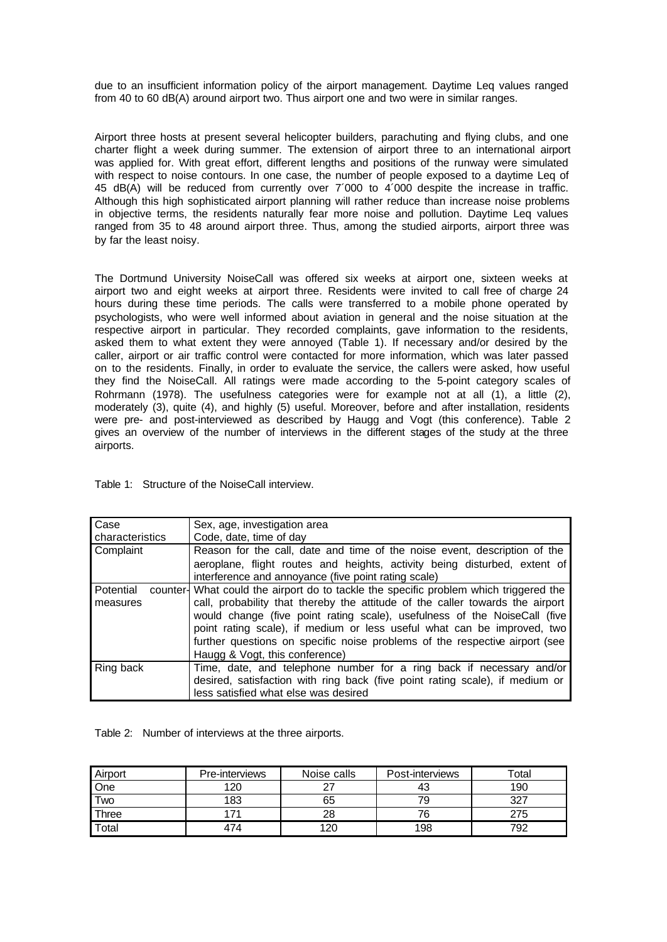due to an insufficient information policy of the airport management. Daytime Leq values ranged from 40 to 60 dB(A) around airport two. Thus airport one and two were in similar ranges.

Airport three hosts at present several helicopter builders, parachuting and flying clubs, and one charter flight a week during summer. The extension of airport three to an international airport was applied for. With great effort, different lengths and positions of the runway were simulated with respect to noise contours. In one case, the number of people exposed to a daytime Leq of 45 dB(A) will be reduced from currently over 7´000 to 4´000 despite the increase in traffic. Although this high sophisticated airport planning will rather reduce than increase noise problems in objective terms, the residents naturally fear more noise and pollution. Daytime Leq values ranged from 35 to 48 around airport three. Thus, among the studied airports, airport three was by far the least noisy.

The Dortmund University NoiseCall was offered six weeks at airport one, sixteen weeks at airport two and eight weeks at airport three. Residents were invited to call free of charge 24 hours during these time periods. The calls were transferred to a mobile phone operated by psychologists, who were well informed about aviation in general and the noise situation at the respective airport in particular. They recorded complaints, gave information to the residents, asked them to what extent they were annoyed (Table 1). If necessary and/or desired by the caller, airport or air traffic control were contacted for more information, which was later passed on to the residents. Finally, in order to evaluate the service, the callers were asked, how useful they find the NoiseCall. All ratings were made according to the 5-point category scales of Rohrmann (1978). The usefulness categories were for example not at all (1), a little (2), moderately (3), quite (4), and highly (5) useful. Moreover, before and after installation, residents were pre- and post-interviewed as described by Haugg and Vogt (this conference). Table 2 gives an overview of the number of interviews in the different stages of the study at the three airports.

Table 1: Structure of the NoiseCall interview.

| Case            | Sex, age, investigation area                                                          |  |  |  |
|-----------------|---------------------------------------------------------------------------------------|--|--|--|
| characteristics | Code, date, time of day                                                               |  |  |  |
| Complaint       | Reason for the call, date and time of the noise event, description of the             |  |  |  |
|                 | aeroplane, flight routes and heights, activity being disturbed, extent of             |  |  |  |
|                 | interference and annoyance (five point rating scale)                                  |  |  |  |
| Potential       | counter- What could the airport do to tackle the specific problem which triggered the |  |  |  |
| measures        | call, probability that thereby the attitude of the caller towards the airport         |  |  |  |
|                 | would change (five point rating scale), usefulness of the NoiseCall (five             |  |  |  |
|                 | point rating scale), if medium or less useful what can be improved, two               |  |  |  |
|                 | further questions on specific noise problems of the respective airport (see           |  |  |  |
|                 | Haugg & Vogt, this conference)                                                        |  |  |  |
| Ring back       | Time, date, and telephone number for a ring back if necessary and/or                  |  |  |  |
|                 | desired, satisfaction with ring back (five point rating scale), if medium or          |  |  |  |
|                 | less satisfied what else was desired                                                  |  |  |  |

Table 2: Number of interviews at the three airports.

| Airport | Pre-interviews | Noise calls | Post-interviews | cotal |
|---------|----------------|-------------|-----------------|-------|
| One     | 120            |             |                 | 190   |
| Two     | 183            | 65          |                 | דרכ   |
| Three   |                | 28          | 76              | 75    |
| Total   | 474            | 120         | 198             | 792   |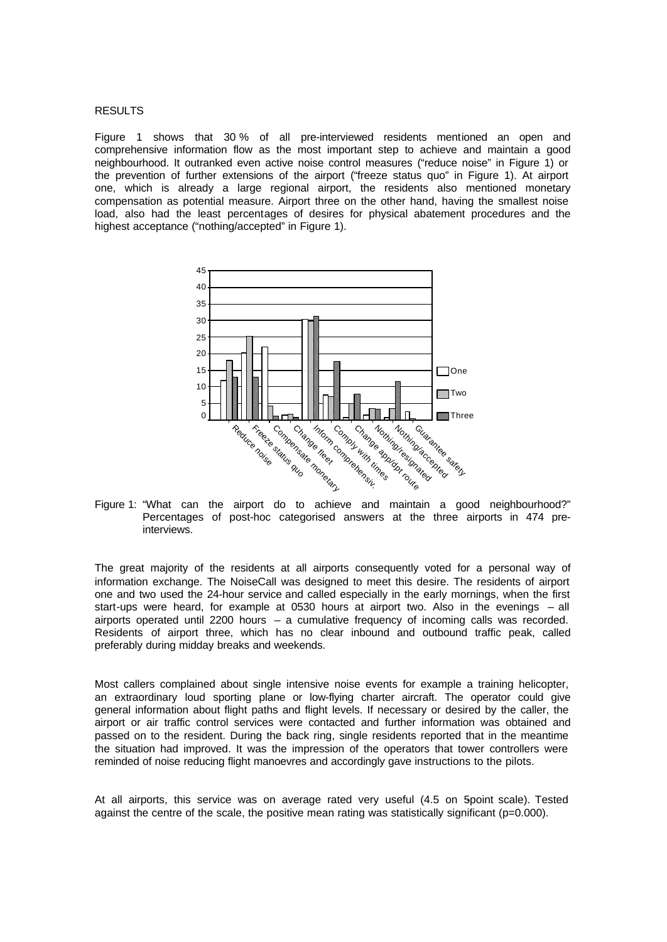### **RESULTS**

Figure 1 shows that 30 % of all pre-interviewed residents mentioned an open and comprehensive information flow as the most important step to achieve and maintain a good neighbourhood. It outranked even active noise control measures ("reduce noise" in Figure 1) or the prevention of further extensions of the airport ("freeze status quo" in Figure 1). At airport one, which is already a large regional airport, the residents also mentioned monetary compensation as potential measure. Airport three on the other hand, having the smallest noise load, also had the least percentages of desires for physical abatement procedures and the highest acceptance ("nothing/accepted" in Figure 1).



Figure 1: "What can the airport do to achieve and maintain a good neighbourhood?" Percentages of post-hoc categorised answers at the three airports in 474 preinterviews.

The great majority of the residents at all airports consequently voted for a personal way of information exchange. The NoiseCall was designed to meet this desire. The residents of airport one and two used the 24-hour service and called especially in the early mornings, when the first start-ups were heard, for example at 0530 hours at airport two. Also in the evenings – all airports operated until 2200 hours – a cumulative frequency of incoming calls was recorded. Residents of airport three, which has no clear inbound and outbound traffic peak, called preferably during midday breaks and weekends.

Most callers complained about single intensive noise events for example a training helicopter, an extraordinary loud sporting plane or low-flying charter aircraft. The operator could give general information about flight paths and flight levels. If necessary or desired by the caller, the airport or air traffic control services were contacted and further information was obtained and passed on to the resident. During the back ring, single residents reported that in the meantime the situation had improved. It was the impression of the operators that tower controllers were reminded of noise reducing flight manoevres and accordingly gave instructions to the pilots.

At all airports, this service was on average rated very useful (4.5 on 5point scale). Tested against the centre of the scale, the positive mean rating was statistically significant (p=0.000).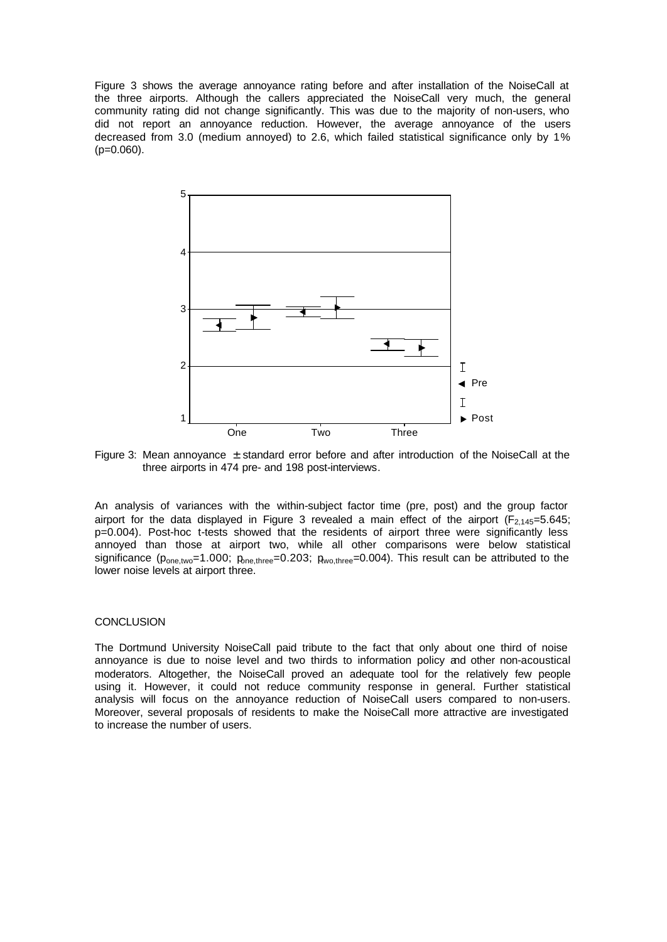Figure 3 shows the average annoyance rating before and after installation of the NoiseCall at the three airports. Although the callers appreciated the NoiseCall very much, the general community rating did not change significantly. This was due to the majority of non-users, who did not report an annoyance reduction. However, the average annoyance of the users decreased from 3.0 (medium annoyed) to 2.6, which failed statistical significance only by 1%  $(p=0.060)$ .



Figure 3: Mean annoyance  $\pm$  standard error before and after introduction of the NoiseCall at the three airports in 474 pre- and 198 post-interviews.

An analysis of variances with the within-subject factor time (pre, post) and the group factor airport for the data displayed in Figure 3 revealed a main effect of the airport ( $F_{2,145}=5.645$ ; p=0.004). Post-hoc t-tests showed that the residents of airport three were significantly less annoyed than those at airport two, while all other comparisons were below statistical significance ( $p_{one,two}=1.000$ ;  $p_{one,three}=0.203$ ;  $p_{wo,three}=0.004$ ). This result can be attributed to the lower noise levels at airport three.

# **CONCLUSION**

The Dortmund University NoiseCall paid tribute to the fact that only about one third of noise annoyance is due to noise level and two thirds to information policy and other non-acoustical moderators. Altogether, the NoiseCall proved an adequate tool for the relatively few people using it. However, it could not reduce community response in general. Further statistical analysis will focus on the annoyance reduction of NoiseCall users compared to non-users. Moreover, several proposals of residents to make the NoiseCall more attractive are investigated to increase the number of users.